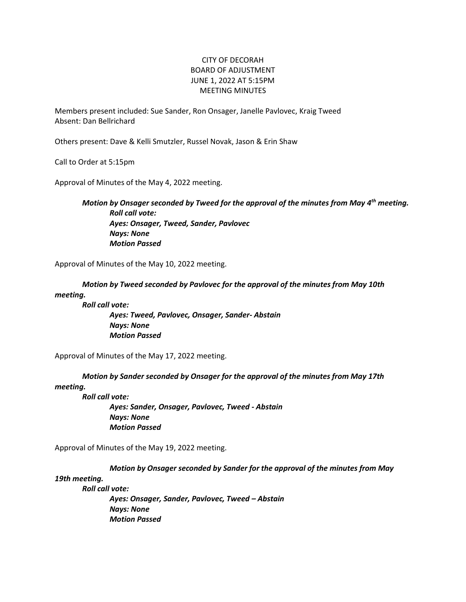## CITY OF DECORAH BOARD OF ADJUSTMENT JUNE 1, 2022 AT 5:15PM MEETING MINUTES

Members present included: Sue Sander, Ron Onsager, Janelle Pavlovec, Kraig Tweed Absent: Dan Bellrichard

Others present: Dave & Kelli Smutzler, Russel Novak, Jason & Erin Shaw

Call to Order at 5:15pm

Approval of Minutes of the May 4, 2022 meeting.

*Motion by Onsager seconded by Tweed for the approval of the minutes from May 4th meeting. Roll call vote: Ayes: Onsager, Tweed, Sander, Pavlovec Nays: None Motion Passed*

Approval of Minutes of the May 10, 2022 meeting.

*Motion by Tweed seconded by Pavlovec for the approval of the minutes from May 10th meeting.*

*Roll call vote:*

*Ayes: Tweed, Pavlovec, Onsager, Sander- Abstain Nays: None Motion Passed*

Approval of Minutes of the May 17, 2022 meeting.

*Motion by Sander seconded by Onsager for the approval of the minutes from May 17th meeting.*

*Roll call vote:*

*Ayes: Sander, Onsager, Pavlovec, Tweed - Abstain Nays: None Motion Passed*

Approval of Minutes of the May 19, 2022 meeting.

*Motion by Onsager seconded by Sander for the approval of the minutes from May* 

## *19th meeting.*

*Roll call vote: Ayes: Onsager, Sander, Pavlovec, Tweed – Abstain Nays: None Motion Passed*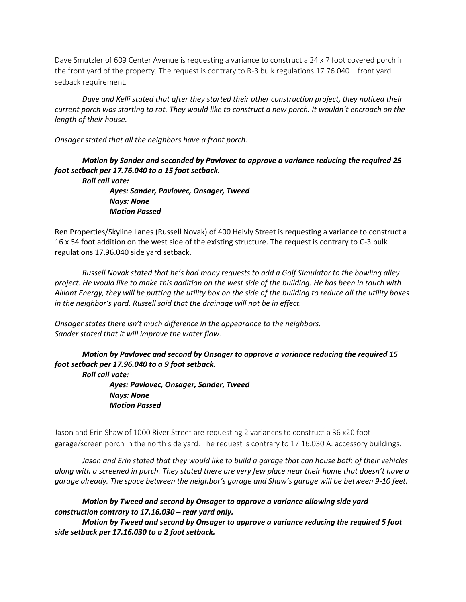Dave Smutzler of 609 Center Avenue is requesting a variance to construct a 24 x 7 foot covered porch in the front yard of the property. The request is contrary to R-3 bulk regulations 17.76.040 – front yard setback requirement.

*Dave and Kelli stated that after they started their other construction project, they noticed their current porch was starting to rot. They would like to construct a new porch. It wouldn't encroach on the length of their house.* 

*Onsager stated that all the neighbors have a front porch.* 

## *Motion by Sander and seconded by Pavlovec to approve a variance reducing the required 25 foot setback per 17.76.040 to a 15 foot setback.*

*Roll call vote:*

*Ayes: Sander, Pavlovec, Onsager, Tweed Nays: None Motion Passed*

Ren Properties/Skyline Lanes (Russell Novak) of 400 Heivly Street is requesting a variance to construct a 16 x 54 foot addition on the west side of the existing structure. The request is contrary to C-3 bulk regulations 17.96.040 side yard setback.

*Russell Novak stated that he's had many requests to add a Golf Simulator to the bowling alley project. He would like to make this addition on the west side of the building. He has been in touch with Alliant Energy, they will be putting the utility box on the side of the building to reduce all the utility boxes in the neighbor's yard. Russell said that the drainage will not be in effect.* 

*Onsager states there isn't much difference in the appearance to the neighbors. Sander stated that it will improve the water flow.*

*Motion by Pavlovec and second by Onsager to approve a variance reducing the required 15 foot setback per 17.96.040 to a 9 foot setback.* 

*Roll call vote:*

*Ayes: Pavlovec, Onsager, Sander, Tweed Nays: None Motion Passed*

Jason and Erin Shaw of 1000 River Street are requesting 2 variances to construct a 36 x20 foot garage/screen porch in the north side yard. The request is contrary to 17.16.030 A. accessory buildings.

*Jason and Erin stated that they would like to build a garage that can house both of their vehicles along with a screened in porch. They stated there are very few place near their home that doesn't have a garage already. The space between the neighbor's garage and Shaw's garage will be between 9-10 feet.* 

## *Motion by Tweed and second by Onsager to approve a variance allowing side yard construction contrary to 17.16.030 – rear yard only.*

*Motion by Tweed and second by Onsager to approve a variance reducing the required 5 foot side setback per 17.16.030 to a 2 foot setback.*